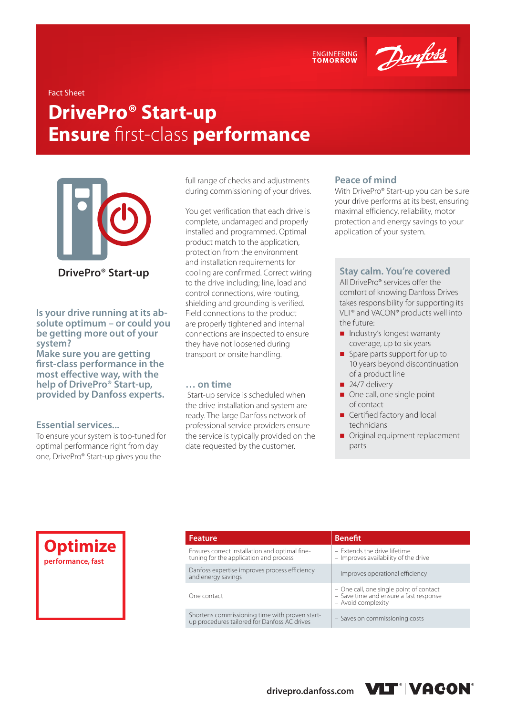

Danfoss

#### Fact Sheet

# **DrivePro® Start-up Ensure** first-class **performance**



**Is your drive running at its absolute optimum – or could you be getting more out of your system?** 

**Make sure you are getting first-class performance in the most effective way, with the help of DrivePro® Start-up, provided by Danfoss experts.** 

## **Essential services...**

To ensure your system is top-tuned for optimal performance right from day one, DrivePro® Start-up gives you the

full range of checks and adjustments during commissioning of your drives.

You get verification that each drive is complete, undamaged and properly installed and programmed. Optimal product match to the application, protection from the environment and installation requirements for cooling are confirmed. Correct wiring to the drive including; line, load and control connections, wire routing, shielding and grounding is verified. Field connections to the product are properly tightened and internal connections are inspected to ensure they have not loosened during transport or onsite handling.

#### **… on time**

 Start-up service is scheduled when the drive installation and system are ready. The large Danfoss network of professional service providers ensure the service is typically provided on the date requested by the customer.

#### **Peace of mind**

With DrivePro® Start-up you can be sure your drive performs at its best, ensuring maximal efficiency, reliability, motor protection and energy savings to your application of your system.

### **Stay calm. You're covered**

All DrivePro® services offer the comfort of knowing Danfoss Drives takes responsibility for supporting its VLT® and VACON® products well into the future:

- Industry's longest warranty coverage, up to six years
- Spare parts support for up to 10 years beyond discontinuation of a product line
- $\Box$  24/7 delivery
- One call, one single point of contact
- Certified factory and local technicians
- Original equipment replacement parts



| <b>Feature</b>                                                                                 | <b>Benefit</b>                                                                                          |
|------------------------------------------------------------------------------------------------|---------------------------------------------------------------------------------------------------------|
| Ensures correct installation and optimal fine-<br>tuning for the application and process       | - Extends the drive lifetime<br>- Improves availability of the drive                                    |
| Danfoss expertise improves process efficiency<br>and energy savings                            | - Improves operational efficiency                                                                       |
| One contact                                                                                    | - One call, one single point of contact<br>- Save time and ensure a fast response<br>- Avoid complexity |
| Shortens commissioning time with proven start-<br>up procedures tailored for Danfoss AC drives | - Saves on commissioning costs                                                                          |